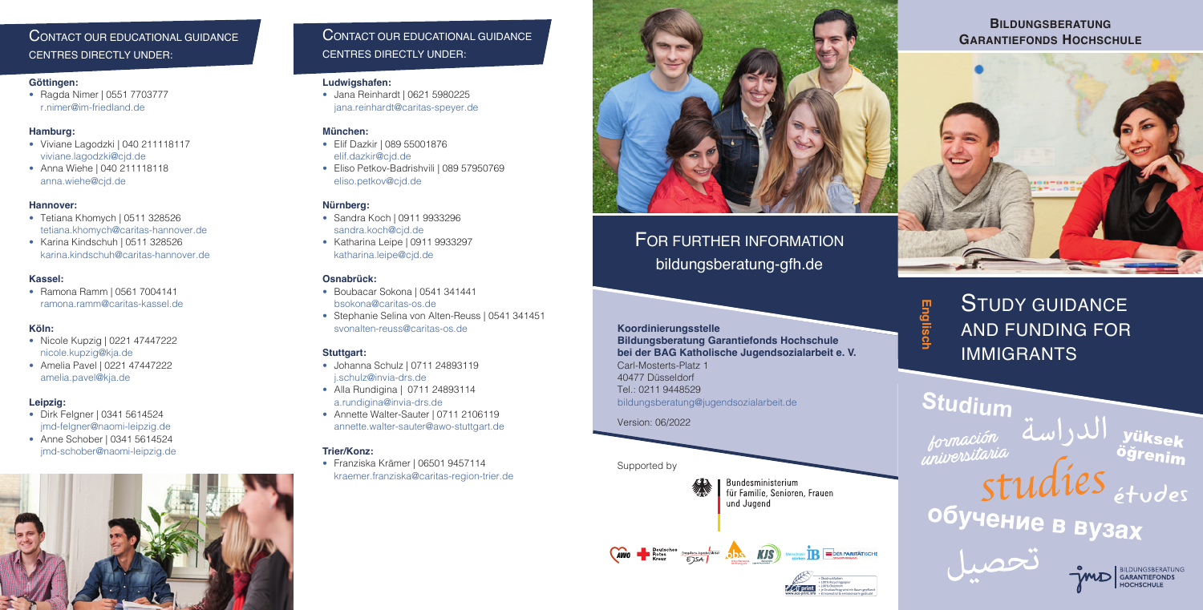# **BILDUNGSBERATUNG**





# CENTRES DIRECTLY UNDER:

## **Göttingen:**

• Ragda Nimer | 0551 7703777 r.nimer@im-friedland.de

# **Hamburg:**

- Viviane Lagodzki | 040 211118117 viviane.lagodzki@cjd.de
- Anna Wiehe | 040 211118118 anna.wiehe@cjd.de

# **Hannover:**

- Tetiana Khomych | 0511 328526 tetiana.khomych@caritas-hannover.de
- Karina Kindschuh | 0511 328526 karina.kindschuh@caritas-hannover.de

# **Kassel:**

• Ramona Ramm | 0561 7004141 ramona.ramm@caritas-kassel.de

# **Köln:**

- Nicole Kupzig | 0221 47447222 nicole.kupzig@kja.de
- Amelia Pavel | 0221 47447222 amelia.pavel@kja.de

# **Leipzig:**

- Dirk Felgner | 0341 5614524 jmd-felgner@naomi-leipzig.de
- Anne Schober | 0341 5614524 jmd-schober@naomi-leipzig.de



# CONTACT OUR EDUCATIONAL GUIDANCE CENTRES DIRECTLY UNDER:

## **Ludwigshafen:**

• Jana Reinhardt | 0621 5980225 jana.reinhardt@caritas-speyer.de

# **München:**

- Elif Dazkir | 089 55001876 elif.dazkir@cjd.de
- Eliso Petkov-Badrishvili | 089 57950769 eliso.petkov@cjd.de

# **Nürnberg:**

- Sandra Koch | 0911 9933296 sandra.koch@cjd.de
- Katharina Leipe | 0911 9933297 katharina.leipe@cjd.de

# **Osnabrück:**

- Boubacar Sokona | 0541 341441 bsokona@caritas-os.de
- Stephanie Selina von Alten-Reuss | 0541 341451 svonalten-reuss@caritas-os.de

# **Stuttgart:**

- Johanna Schulz | 0711 24893119 j.schulz@invia-drs.de
- Alla Rundigina | 0711 24893114 a.rundigina@invia-drs.de
- Annette Walter-Sauter | 0711 2106119 annette.walter-sauter@awo-stuttgart.de

# **Trier/Konz:**

• Franziska Krämer | 06501 9457114 kraemer.franziska@caritas-region-trier.de

# FOR FURTHER INFORMATION

bildungsberatung-gfh.de

# **Koordinierungsstelle**

**Bildungsberatung Garantiefonds Hochschule bei der BAG Katholische Jugendsozialarbeit e. V.** Carl-Mosterts-Platz 1 40477 Düsseldorf Tel.: 0211 9448529 bildungsberatung@jugendsozialarbeit.de

Version: 06/2022

Supported by



Bundesministerium<br>für Familie, Senioren, Frauen und Jugend

Wenchen **TR** EDER PARITATISCHE



STUDY GUIDANCE AND FUNDING FOR IMMIGRANTS

# Studium<br>*Jormación* الدراسة<br>*Le princersitaria*<br>*C*, ogrenim *Entracture d'Aldies*<br>
Studes<br>
Obyvehue B By3ax<br>
Contracture d'Aldies<br>
Contracture



Otto Benecke Stiftung e.V.